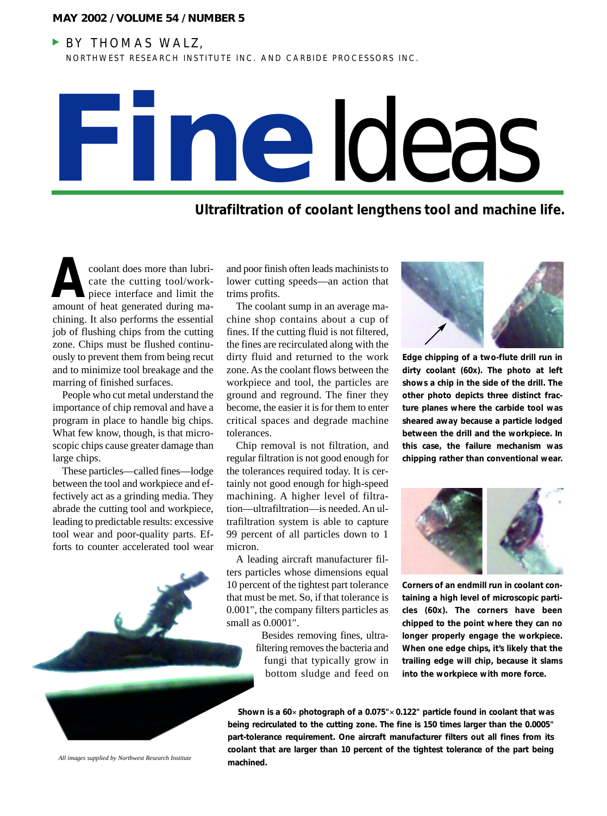#### **MAY 2002 / VOLUME 54 / NUMBER 5**

### **BY THOMAS WALZ,**

NORTHWEST RESEARCH INSTITUTE INC. AND CARBIDE PROCESSORS INC.



# **Ultrafiltration of coolant lengthens tool and machine life.**

coolant does more than lubricate the cutting tool/workpiece interface and limit the amount of heat generated during machining. It also performs the essential job of flushing chips from the cutting zone. Chips must be flushed continuously to prevent them from being recut and to minimize tool breakage and the marring of finished surfaces. coolant does more than lubri-<br>
cate the cutting tool/work-<br>
piece interface and limit the trims profits.<br>
amount of heat generated during ma-<br>
The coolant sump in an average ma-

People who cut metal understand the importance of chip removal and have a program in place to handle big chips. What few know, though, is that microscopic chips cause greater damage than large chips.

These particles—called fines—lodge between the tool and workpiece and effectively act as a grinding media. They abrade the cutting tool and workpiece, leading to predictable results: excessive tool wear and poor-quality parts. Efforts to counter accelerated tool wear

lower cutting speeds—an action that trims profits.

The coolant sump in an average machine shop contains about a cup of fines. If the cutting fluid is not filtered, the fines are recirculated along with the dirty fluid and returned to the work zone. As the coolant flows between the workpiece and tool, the particles are ground and reground. The finer they become, the easier it is for them to enter critical spaces and degrade machine tolerances.

Chip removal is not filtration, and regular filtration is not good enough for the tolerances required today. It is certainly not good enough for high-speed machining. A higher level of filtration—ultrafiltration—is needed. An ultrafiltration system is able to capture 99 percent of all particles down to 1 micron.

A leading aircraft manufacturer filters particles whose dimensions equal 10 percent of the tightest part tolerance that must be met. So, if that tolerance is 0.001", the company filters particles as small as 0.0001".

> Besides removing fines, ultrafiltering removes the bacteria and fungi that typically grow in bottom sludge and feed on



**Edge chipping of a two-flute drill run in dirty coolant (60x). The photo at left shows a chip in the side of the drill. The other photo depicts three distinct fracture planes where the carbide tool was sheared away because a particle lodged between the drill and the workpiece. In this case, the failure mechanism was chipping rather than conventional wear.**



**Corners of an endmill run in coolant containing a high level of microscopic particles (60x). The corners have been chipped to the point where they can no longer properly engage the workpiece. When one edge chips, it's likely that the trailing edge will chip, because it slams into the workpiece with more force.**

*All images supplied by Northwest Research Institute*

**Shown is a 60**✕ **photograph of a 0.075"**✕ **0.122" particle found in coolant that was being recirculated to the cutting zone. The fine is 150 times larger than the 0.0005" part-tolerance requirement. One aircraft manufacturer filters out all fines from its coolant that are larger than 10 percent of the tightest tolerance of the part being machined.**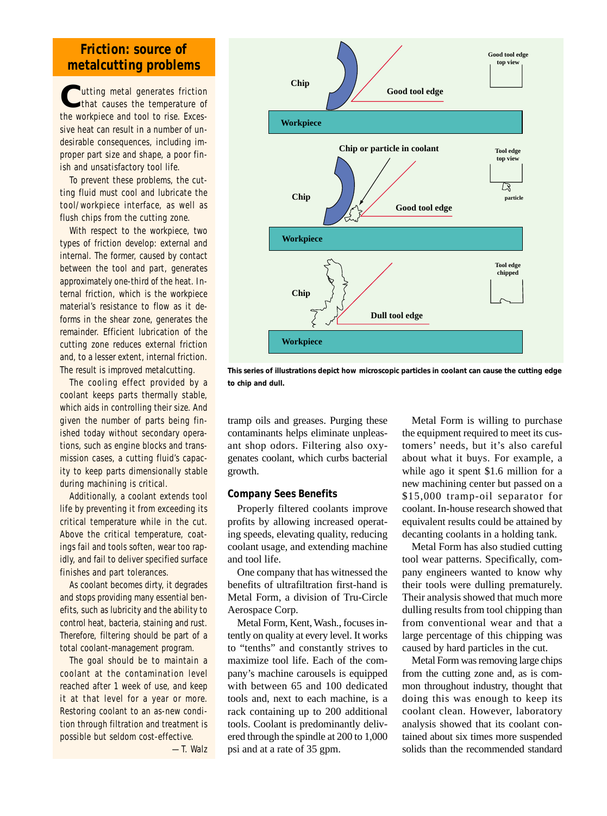## **Friction: source of metalcutting problems**

**C**utting metal generates friction that causes the temperature of the workpiece and tool to rise. Excessive heat can result in a number of undesirable consequences, including improper part size and shape, a poor finish and unsatisfactory tool life.

To prevent these problems, the cutting fluid must cool and lubricate the tool/workpiece interface, as well as flush chips from the cutting zone.

With respect to the workpiece, two types of friction develop: external and internal. The former, caused by contact between the tool and part, generates approximately one-third of the heat. Internal friction, which is the workpiece material's resistance to flow as it deforms in the shear zone, generates the remainder. Efficient lubrication of the cutting zone reduces external friction and, to a lesser extent, internal friction. The result is improved metalcutting.

The cooling effect provided by a coolant keeps parts thermally stable, which aids in controlling their size. And given the number of parts being finished today without secondary operations, such as engine blocks and transmission cases, a cutting fluid's capacity to keep parts dimensionally stable during machining is critical.

Additionally, a coolant extends tool life by preventing it from exceeding its critical temperature while in the cut. Above the critical temperature, coatings fail and tools soften, wear too rapidly, and fail to deliver specified surface finishes and part tolerances.

As coolant becomes dirty, it degrades and stops providing many essential benefits, such as lubricity and the ability to control heat, bacteria, staining and rust. Therefore, filtering should be part of a total coolant-management program.

The goal should be to maintain a coolant at the contamination level reached after 1 week of use, and keep it at that level for a year or more. Restoring coolant to an as-new condition through filtration and treatment is possible but seldom cost-effective.

—T. Walz



**This series of illustrations depict how microscopic particles in coolant can cause the cutting edge to chip and dull.**

tramp oils and greases. Purging these contaminants helps eliminate unpleasant shop odors. Filtering also oxygenates coolant, which curbs bacterial growth.

#### **Company Sees Benefits**

Properly filtered coolants improve profits by allowing increased operating speeds, elevating quality, reducing coolant usage, and extending machine and tool life.

One company that has witnessed the benefits of ultrafiltration first-hand is Metal Form, a division of Tru-Circle Aerospace Corp.

Metal Form, Kent, Wash., focuses intently on quality at every level. It works to "tenths" and constantly strives to maximize tool life. Each of the company's machine carousels is equipped with between 65 and 100 dedicated tools and, next to each machine, is a rack containing up to 200 additional tools. Coolant is predominantly delivered through the spindle at 200 to 1,000 psi and at a rate of 35 gpm.

Metal Form is willing to purchase the equipment required to meet its customers' needs, but it's also careful about what it buys. For example, a while ago it spent \$1.6 million for a new machining center but passed on a \$15,000 tramp-oil separator for coolant. In-house research showed that equivalent results could be attained by decanting coolants in a holding tank.

Metal Form has also studied cutting tool wear patterns. Specifically, company engineers wanted to know why their tools were dulling prematurely. Their analysis showed that much more dulling results from tool chipping than from conventional wear and that a large percentage of this chipping was caused by hard particles in the cut.

Metal Form was removing large chips from the cutting zone and, as is common throughout industry, thought that doing this was enough to keep its coolant clean. However, laboratory analysis showed that its coolant contained about six times more suspended solids than the recommended standard